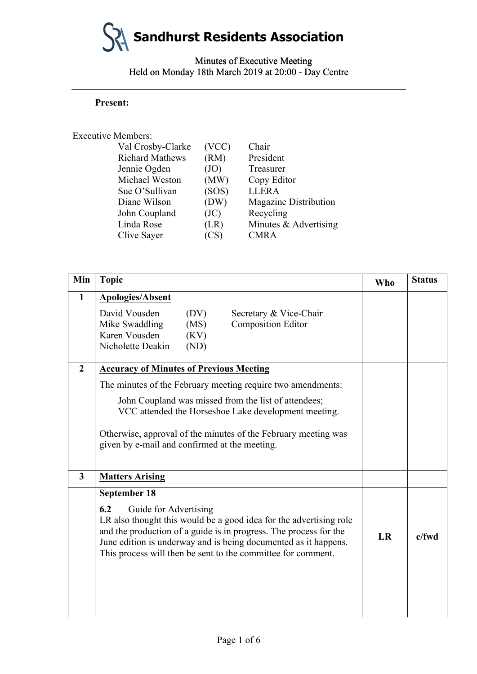### Minutes of Executive Meeting Minutes of Executive Meeting Held on Monday 18th March 2019 at 20:00 - Day Centre

#### **Present:**

#### Executive Members:

|                | Val Crosby-Clarke      | (VCC) | Chair                        |
|----------------|------------------------|-------|------------------------------|
|                | <b>Richard Mathews</b> | (RM)  | President                    |
| Jennie Ogden   |                        | (JO)  | Treasurer                    |
|                | Michael Weston         | (MW)  | Copy Editor                  |
| Sue O'Sullivan |                        | (SOS) | <b>LLERA</b>                 |
| Diane Wilson   |                        | (DW)  | <b>Magazine Distribution</b> |
| John Coupland  |                        | (JC)  | Recycling                    |
| Linda Rose     |                        | (LR)  | Minutes & Advertising        |
| Clive Sayer    |                        | (CS)  | <b>CMRA</b>                  |
|                |                        |       |                              |

|                  | <b>Present:</b>                                                                                                                                               |                                                                        |                                                                                                                                                                                                            |            |               |
|------------------|---------------------------------------------------------------------------------------------------------------------------------------------------------------|------------------------------------------------------------------------|------------------------------------------------------------------------------------------------------------------------------------------------------------------------------------------------------------|------------|---------------|
|                  | <b>Executive Members:</b>                                                                                                                                     |                                                                        |                                                                                                                                                                                                            |            |               |
|                  | Val Crosby-Clarke<br><b>Richard Mathews</b><br>Jennie Ogden<br>Michael Weston<br>Sue O'Sullivan<br>Diane Wilson<br>John Coupland<br>Linda Rose<br>Clive Sayer | (VCC)<br>(RM)<br>(JO)<br>(MW)<br>(SOS)<br>(DW)<br>(JC)<br>(LR)<br>(CS) | Chair<br>President<br>Treasurer<br>Copy Editor<br><b>LLERA</b><br>Magazine Distribution<br>Recycling<br>Minutes & Advertising<br><b>CMRA</b>                                                               |            |               |
| Min              | <b>Topic</b>                                                                                                                                                  |                                                                        |                                                                                                                                                                                                            | <b>Who</b> | <b>Status</b> |
| $\mathbf{1}$     | <b>Apologies/Absent</b>                                                                                                                                       |                                                                        |                                                                                                                                                                                                            |            |               |
|                  | David Vousden<br>(DV)<br>Mike Swaddling<br>(MS)<br>Karen Vousden<br>(KV)<br>Nicholette Deakin<br>(ND)                                                         |                                                                        | Secretary & Vice-Chair<br><b>Composition Editor</b>                                                                                                                                                        |            |               |
| $\boldsymbol{2}$ | <b>Accuracy of Minutes of Previous Meeting</b>                                                                                                                |                                                                        |                                                                                                                                                                                                            |            |               |
|                  |                                                                                                                                                               |                                                                        | The minutes of the February meeting require two amendments:                                                                                                                                                |            |               |
|                  | John Coupland was missed from the list of attendees;                                                                                                          |                                                                        | VCC attended the Horseshoe Lake development meeting.                                                                                                                                                       |            |               |
|                  | given by e-mail and confirmed at the meeting.                                                                                                                 |                                                                        | Otherwise, approval of the minutes of the February meeting was                                                                                                                                             |            |               |
| 3                | <b>Matters Arising</b>                                                                                                                                        |                                                                        |                                                                                                                                                                                                            |            |               |
|                  | September 18<br>6.2<br>Guide for Advertising<br>This process will then be sent to the committee for comment.                                                  |                                                                        | LR also thought this would be a good idea for the advertising role<br>and the production of a guide is in progress. The process for the<br>June edition is underway and is being documented as it happens. | LR         | $c$ /fwd      |
|                  |                                                                                                                                                               |                                                                        |                                                                                                                                                                                                            |            |               |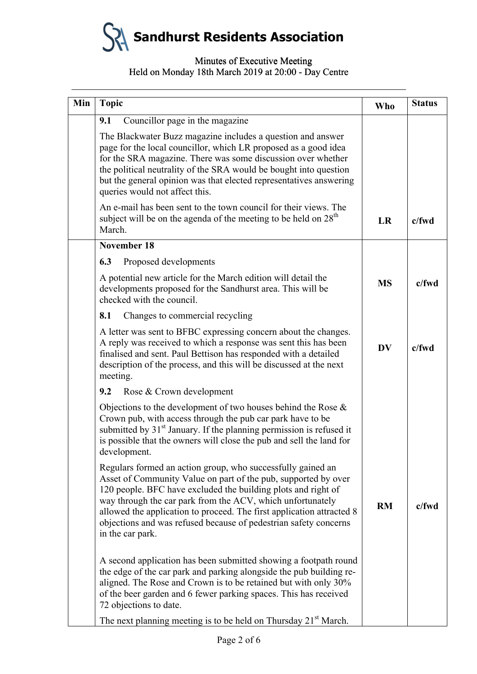#### Minutes of Executive Meeting Minutes of Executive Meeting Held on Monday 18th March 2019 at 20:00 - Day Centre

| Min | <b>Topic</b>                                                                                                                                                                                                                                                                                                                                                                                                                  | <b>Who</b> | <b>Status</b> |
|-----|-------------------------------------------------------------------------------------------------------------------------------------------------------------------------------------------------------------------------------------------------------------------------------------------------------------------------------------------------------------------------------------------------------------------------------|------------|---------------|
|     | Councillor page in the magazine<br>9.1                                                                                                                                                                                                                                                                                                                                                                                        |            |               |
|     | The Blackwater Buzz magazine includes a question and answer<br>page for the local councillor, which LR proposed as a good idea<br>for the SRA magazine. There was some discussion over whether<br>the political neutrality of the SRA would be bought into question<br>but the general opinion was that elected representatives answering<br>queries would not affect this.                                                   |            |               |
|     | An e-mail has been sent to the town council for their views. The<br>subject will be on the agenda of the meeting to be held on $28th$<br>March.                                                                                                                                                                                                                                                                               | LR         | c/fwd         |
|     | <b>November 18</b>                                                                                                                                                                                                                                                                                                                                                                                                            |            |               |
|     | 6.3<br>Proposed developments                                                                                                                                                                                                                                                                                                                                                                                                  |            |               |
|     | A potential new article for the March edition will detail the<br>developments proposed for the Sandhurst area. This will be<br>checked with the council.                                                                                                                                                                                                                                                                      | <b>MS</b>  | $c$ /fwd      |
|     | Changes to commercial recycling<br>8.1                                                                                                                                                                                                                                                                                                                                                                                        |            |               |
|     | A letter was sent to BFBC expressing concern about the changes.<br>A reply was received to which a response was sent this has been<br>finalised and sent. Paul Bettison has responded with a detailed<br>description of the process, and this will be discussed at the next<br>meeting.                                                                                                                                       | <b>DV</b>  | c/fwd         |
|     | Rose & Crown development<br>9.2                                                                                                                                                                                                                                                                                                                                                                                               |            |               |
|     | Objections to the development of two houses behind the Rose $\&$<br>Crown pub, with access through the pub car park have to be<br>submitted by 31 <sup>st</sup> January. If the planning permission is refused it<br>is possible that the owners will close the pub and sell the land for<br>development.                                                                                                                     |            |               |
|     | Regulars formed an action group, who successfully gained an<br>Asset of Community Value on part of the pub, supported by over<br>120 people. BFC have excluded the building plots and right of<br>way through the car park from the ACV, which unfortunately<br>allowed the application to proceed. The first application attracted 8<br>objections and was refused because of pedestrian safety concerns<br>in the car park. | <b>RM</b>  | $c$ /fwd      |
|     | A second application has been submitted showing a footpath round<br>the edge of the car park and parking alongside the pub building re-<br>aligned. The Rose and Crown is to be retained but with only 30%<br>of the beer garden and 6 fewer parking spaces. This has received<br>72 objections to date.                                                                                                                      |            |               |
|     | The next planning meeting is to be held on Thursday 21 <sup>st</sup> March.                                                                                                                                                                                                                                                                                                                                                   |            |               |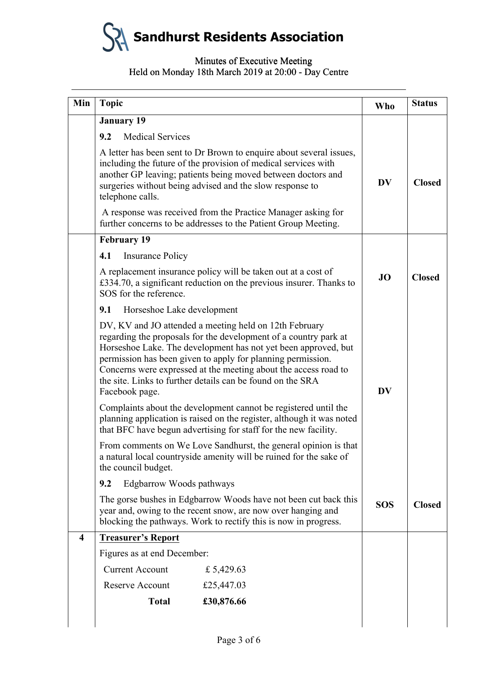#### Minutes of Executive Meeting Minutes of Executive Meeting Held on Monday 18th March 2019 at 20:00 - Day Centre

| Min                     | <b>Topic</b>                                                                                                                                                                                          |                                                                                                                                                                                                       | <b>Who</b> | <b>Status</b> |
|-------------------------|-------------------------------------------------------------------------------------------------------------------------------------------------------------------------------------------------------|-------------------------------------------------------------------------------------------------------------------------------------------------------------------------------------------------------|------------|---------------|
|                         | <b>January 19</b>                                                                                                                                                                                     |                                                                                                                                                                                                       |            |               |
|                         | 9.2<br><b>Medical Services</b>                                                                                                                                                                        |                                                                                                                                                                                                       |            |               |
|                         | including the future of the provision of medical services with<br>surgeries without being advised and the slow response to<br>telephone calls.                                                        | A letter has been sent to Dr Brown to enquire about several issues,<br>another GP leaving; patients being moved between doctors and                                                                   | <b>DV</b>  | <b>Closed</b> |
|                         |                                                                                                                                                                                                       | A response was received from the Practice Manager asking for<br>further concerns to be addresses to the Patient Group Meeting.                                                                        |            |               |
|                         | <b>February 19</b>                                                                                                                                                                                    |                                                                                                                                                                                                       |            |               |
|                         | 4.1<br><b>Insurance Policy</b>                                                                                                                                                                        |                                                                                                                                                                                                       |            |               |
|                         | A replacement insurance policy will be taken out at a cost of<br>SOS for the reference.                                                                                                               | £334.70, a significant reduction on the previous insurer. Thanks to                                                                                                                                   | <b>JO</b>  | <b>Closed</b> |
|                         | 9.1<br>Horseshoe Lake development                                                                                                                                                                     |                                                                                                                                                                                                       |            |               |
|                         | DV, KV and JO attended a meeting held on 12th February<br>permission has been given to apply for planning permission.<br>the site. Links to further details can be found on the SRA<br>Facebook page. | regarding the proposals for the development of a country park at<br>Horseshoe Lake. The development has not yet been approved, but<br>Concerns were expressed at the meeting about the access road to | DV         |               |
|                         | that BFC have begun advertising for staff for the new facility.                                                                                                                                       | Complaints about the development cannot be registered until the<br>planning application is raised on the register, although it was noted                                                              |            |               |
|                         | From comments on We Love Sandhurst, the general opinion is that<br>a natural local countryside amenity will be ruined for the sake of<br>the council budget.                                          |                                                                                                                                                                                                       |            |               |
|                         | Edgbarrow Woods pathways<br>9.2                                                                                                                                                                       |                                                                                                                                                                                                       |            |               |
|                         |                                                                                                                                                                                                       | The gorse bushes in Edgbarrow Woods have not been cut back this<br>year and, owing to the recent snow, are now over hanging and<br>blocking the pathways. Work to rectify this is now in progress.    | <b>SOS</b> | <b>Closed</b> |
| $\overline{\mathbf{4}}$ | <b>Treasurer's Report</b>                                                                                                                                                                             |                                                                                                                                                                                                       |            |               |
|                         | Figures as at end December:                                                                                                                                                                           |                                                                                                                                                                                                       |            |               |
|                         | <b>Current Account</b>                                                                                                                                                                                | £ 5,429.63                                                                                                                                                                                            |            |               |
|                         | Reserve Account                                                                                                                                                                                       | £25,447.03                                                                                                                                                                                            |            |               |
|                         | <b>Total</b>                                                                                                                                                                                          | £30,876.66                                                                                                                                                                                            |            |               |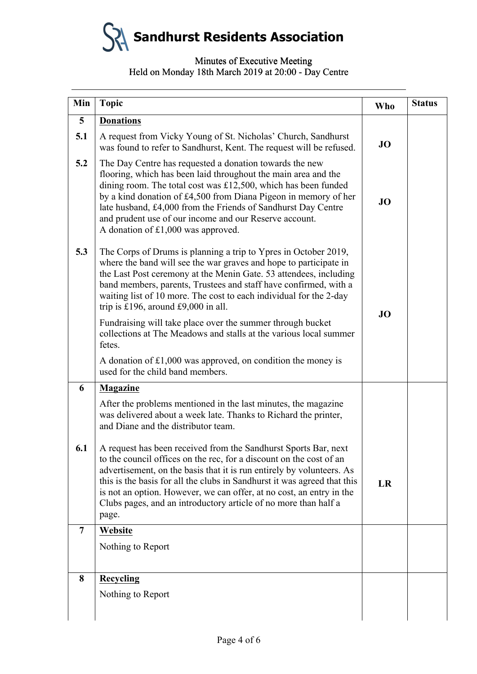#### Minutes of Executive Meeting Minutes of Executive Meeting Held on Monday 18th March 2019 at 20:00 - Day Centre

| Min            | <b>Topic</b>                                                                                                                                                                                                                                                                                                                                                                                                                                    | <b>Who</b> | <b>Status</b> |
|----------------|-------------------------------------------------------------------------------------------------------------------------------------------------------------------------------------------------------------------------------------------------------------------------------------------------------------------------------------------------------------------------------------------------------------------------------------------------|------------|---------------|
| 5              | <b>Donations</b>                                                                                                                                                                                                                                                                                                                                                                                                                                |            |               |
| 5.1            | A request from Vicky Young of St. Nicholas' Church, Sandhurst<br>was found to refer to Sandhurst, Kent. The request will be refused.                                                                                                                                                                                                                                                                                                            | JO         |               |
| 5.2            | The Day Centre has requested a donation towards the new<br>flooring, which has been laid throughout the main area and the<br>dining room. The total cost was $£12,500$ , which has been funded<br>by a kind donation of £4,500 from Diana Pigeon in memory of her<br>late husband, £4,000 from the Friends of Sandhurst Day Centre<br>and prudent use of our income and our Reserve account.<br>A donation of £1,000 was approved.              | JO         |               |
| 5.3            | The Corps of Drums is planning a trip to Ypres in October 2019,<br>where the band will see the war graves and hope to participate in<br>the Last Post ceremony at the Menin Gate. 53 attendees, including<br>band members, parents, Trustees and staff have confirmed, with a<br>waiting list of 10 more. The cost to each individual for the 2-day<br>trip is £196, around £9,000 in all.                                                      | JO         |               |
|                | Fundraising will take place over the summer through bucket<br>collections at The Meadows and stalls at the various local summer<br>fetes.                                                                                                                                                                                                                                                                                                       |            |               |
|                | A donation of £1,000 was approved, on condition the money is<br>used for the child band members.                                                                                                                                                                                                                                                                                                                                                |            |               |
| 6              | <b>Magazine</b>                                                                                                                                                                                                                                                                                                                                                                                                                                 |            |               |
|                | After the problems mentioned in the last minutes, the magazine<br>was delivered about a week late. Thanks to Richard the printer,<br>and Diane and the distributor team.                                                                                                                                                                                                                                                                        |            |               |
| 6.1            | A request has been received from the Sandhurst Sports Bar, next<br>to the council offices on the rec, for a discount on the cost of an<br>advertisement, on the basis that it is run entirely by volunteers. As<br>this is the basis for all the clubs in Sandhurst it was agreed that this<br>is not an option. However, we can offer, at no cost, an entry in the<br>Clubs pages, and an introductory article of no more than half a<br>page. | LR         |               |
| $\overline{7}$ | Website                                                                                                                                                                                                                                                                                                                                                                                                                                         |            |               |
|                | Nothing to Report                                                                                                                                                                                                                                                                                                                                                                                                                               |            |               |
| 8              | Recycling                                                                                                                                                                                                                                                                                                                                                                                                                                       |            |               |
|                | Nothing to Report                                                                                                                                                                                                                                                                                                                                                                                                                               |            |               |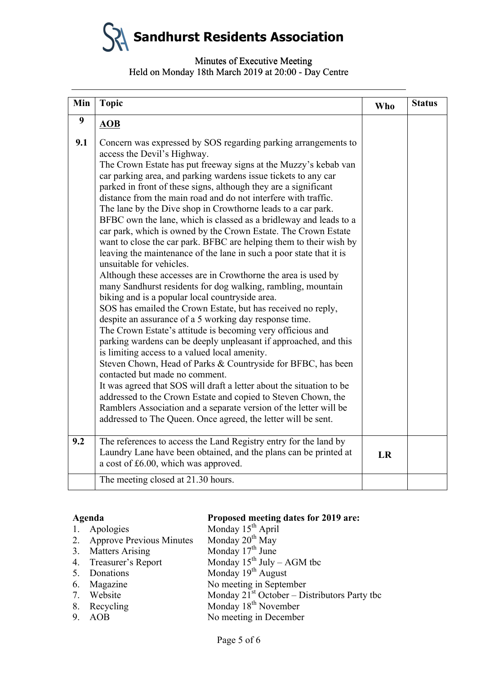#### Minutes of Executive Meeting Minutes of Executive Meeting Held on Monday 18th March 2019 at 20:00 - Day Centre

|     | Min<br><b>Topic</b>                                                                                                                                                                                                                                                                                                                                                                                                                                                                                                                                                                                                                                                                                                                                                                                                                                                                                                                                                                                                                                                                                                                                                                                                                                                                                                                                                                                                                                                                                                                                                                                                                       |                                                                                                                                      |    | <b>Status</b> |
|-----|-------------------------------------------------------------------------------------------------------------------------------------------------------------------------------------------------------------------------------------------------------------------------------------------------------------------------------------------------------------------------------------------------------------------------------------------------------------------------------------------------------------------------------------------------------------------------------------------------------------------------------------------------------------------------------------------------------------------------------------------------------------------------------------------------------------------------------------------------------------------------------------------------------------------------------------------------------------------------------------------------------------------------------------------------------------------------------------------------------------------------------------------------------------------------------------------------------------------------------------------------------------------------------------------------------------------------------------------------------------------------------------------------------------------------------------------------------------------------------------------------------------------------------------------------------------------------------------------------------------------------------------------|--------------------------------------------------------------------------------------------------------------------------------------|----|---------------|
| 9   | <b>AOB</b>                                                                                                                                                                                                                                                                                                                                                                                                                                                                                                                                                                                                                                                                                                                                                                                                                                                                                                                                                                                                                                                                                                                                                                                                                                                                                                                                                                                                                                                                                                                                                                                                                                |                                                                                                                                      |    |               |
| 9.1 | Concern was expressed by SOS regarding parking arrangements to<br>access the Devil's Highway.<br>The Crown Estate has put freeway signs at the Muzzy's kebab van<br>car parking area, and parking wardens issue tickets to any car<br>parked in front of these signs, although they are a significant<br>distance from the main road and do not interfere with traffic.<br>The lane by the Dive shop in Crowthorne leads to a car park.<br>BFBC own the lane, which is classed as a bridleway and leads to a<br>car park, which is owned by the Crown Estate. The Crown Estate<br>want to close the car park. BFBC are helping them to their wish by<br>leaving the maintenance of the lane in such a poor state that it is<br>unsuitable for vehicles.<br>Although these accesses are in Crowthorne the area is used by<br>many Sandhurst residents for dog walking, rambling, mountain<br>biking and is a popular local countryside area.<br>SOS has emailed the Crown Estate, but has received no reply,<br>despite an assurance of a 5 working day response time.<br>The Crown Estate's attitude is becoming very officious and<br>parking wardens can be deeply unpleasant if approached, and this<br>is limiting access to a valued local amenity.<br>Steven Chown, Head of Parks & Countryside for BFBC, has been<br>contacted but made no comment.<br>It was agreed that SOS will draft a letter about the situation to be<br>addressed to the Crown Estate and copied to Steven Chown, the<br>Ramblers Association and a separate version of the letter will be<br>addressed to The Queen. Once agreed, the letter will be sent. |                                                                                                                                      |    |               |
|     |                                                                                                                                                                                                                                                                                                                                                                                                                                                                                                                                                                                                                                                                                                                                                                                                                                                                                                                                                                                                                                                                                                                                                                                                                                                                                                                                                                                                                                                                                                                                                                                                                                           |                                                                                                                                      |    |               |
| 9.2 | a cost of £6.00, which was approved.                                                                                                                                                                                                                                                                                                                                                                                                                                                                                                                                                                                                                                                                                                                                                                                                                                                                                                                                                                                                                                                                                                                                                                                                                                                                                                                                                                                                                                                                                                                                                                                                      | The references to access the Land Registry entry for the land by<br>Laundry Lane have been obtained, and the plans can be printed at | LR |               |
|     | The meeting closed at 21.30 hours.                                                                                                                                                                                                                                                                                                                                                                                                                                                                                                                                                                                                                                                                                                                                                                                                                                                                                                                                                                                                                                                                                                                                                                                                                                                                                                                                                                                                                                                                                                                                                                                                        |                                                                                                                                      |    |               |

## **Agenda Proposed meeting dates for 2019 are:**

| 1. Apologies                | Monday 15 <sup>th</sup> April                  |
|-----------------------------|------------------------------------------------|
| 2. Approve Previous Minutes | Monday 20 <sup>th</sup> May                    |
| 3. Matters Arising          | Monday $17th$ June                             |
| 4. Treasurer's Report       | Monday $15^{th}$ July – AGM tbc                |
| 5. Donations                | Monday $19th$ August                           |
| 6. Magazine                 | No meeting in September                        |
| 7. Website                  | Monday $21st$ October – Distributors Party the |
| 8. Recycling                | Monday 18 <sup>th</sup> November               |